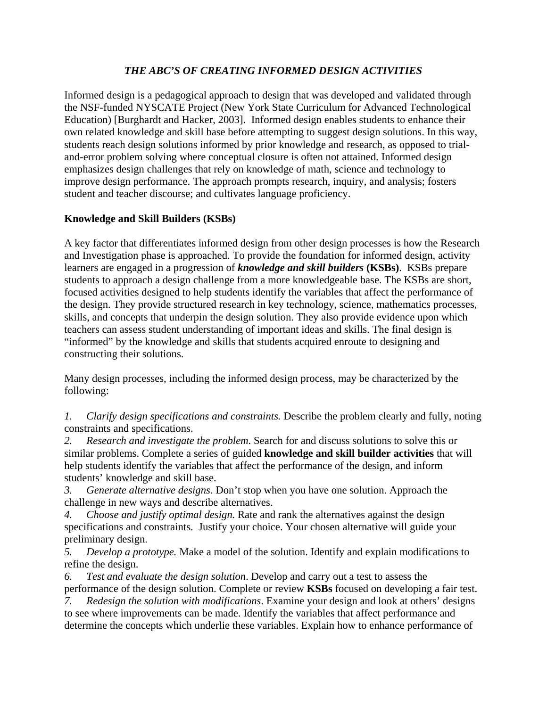## *THE ABC'S OF CREATING INFORMED DESIGN ACTIVITIES*

Informed design is a pedagogical approach to design that was developed and validated through the NSF-funded NYSCATE Project (New York State Curriculum for Advanced Technological Education) [Burghardt and Hacker, 2003]. Informed design enables students to enhance their own related knowledge and skill base before attempting to suggest design solutions. In this way, students reach design solutions informed by prior knowledge and research, as opposed to trialand-error problem solving where conceptual closure is often not attained. Informed design emphasizes design challenges that rely on knowledge of math, science and technology to improve design performance. The approach prompts research, inquiry, and analysis; fosters student and teacher discourse; and cultivates language proficiency.

## **Knowledge and Skill Builders (KSBs)**

A key factor that differentiates informed design from other design processes is how the Research and Investigation phase is approached. To provide the foundation for informed design, activity learners are engaged in a progression of *knowledge and skill builders* **(KSBs)**. KSBs prepare students to approach a design challenge from a more knowledgeable base. The KSBs are short, focused activities designed to help students identify the variables that affect the performance of the design. They provide structured research in key technology, science, mathematics processes, skills, and concepts that underpin the design solution. They also provide evidence upon which teachers can assess student understanding of important ideas and skills. The final design is "informed" by the knowledge and skills that students acquired enroute to designing and constructing their solutions.

Many design processes, including the informed design process, may be characterized by the following:

*1. Clarify design specifications and constraints.* Describe the problem clearly and fully, noting constraints and specifications.

*2. Research and investigate the problem*. Search for and discuss solutions to solve this or similar problems. Complete a series of guided **knowledge and skill builder activities** that will help students identify the variables that affect the performance of the design, and inform students' knowledge and skill base.

*3. Generate alternative designs*. Don't stop when you have one solution. Approach the challenge in new ways and describe alternatives.

*4. Choose and justify optimal design.* Rate and rank the alternatives against the design specifications and constraints. Justify your choice. Your chosen alternative will guide your preliminary design.

*5. Develop a prototype.* Make a model of the solution. Identify and explain modifications to refine the design.

*6. Test and evaluate the design solution*. Develop and carry out a test to assess the performance of the design solution. Complete or review **KSBs** focused on developing a fair test.

*7. Redesign the solution with modifications*. Examine your design and look at others' designs to see where improvements can be made. Identify the variables that affect performance and determine the concepts which underlie these variables. Explain how to enhance performance of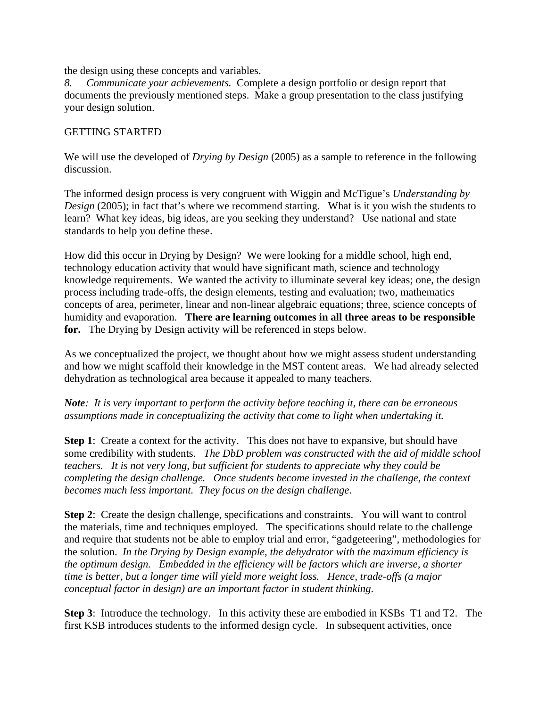the design using these concepts and variables.

*8. Communicate your achievements.* Complete a design portfolio or design report that documents the previously mentioned steps. Make a group presentation to the class justifying your design solution.

## GETTING STARTED

We will use the developed of *Drying by Design* (2005) as a sample to reference in the following discussion.

The informed design process is very congruent with Wiggin and McTigue's *Understanding by Design* (2005); in fact that's where we recommend starting. What is it you wish the students to learn? What key ideas, big ideas, are you seeking they understand? Use national and state standards to help you define these.

How did this occur in Drying by Design? We were looking for a middle school, high end, technology education activity that would have significant math, science and technology knowledge requirements. We wanted the activity to illuminate several key ideas; one, the design process including trade-offs, the design elements, testing and evaluation; two, mathematics concepts of area, perimeter, linear and non-linear algebraic equations; three, science concepts of humidity and evaporation. **There are learning outcomes in all three areas to be responsible for.** The Drying by Design activity will be referenced in steps below.

As we conceptualized the project, we thought about how we might assess student understanding and how we might scaffold their knowledge in the MST content areas. We had already selected dehydration as technological area because it appealed to many teachers.

*Note: It is very important to perform the activity before teaching it, there can be erroneous assumptions made in conceptualizing the activity that come to light when undertaking it.*

**Step 1:** Create a context for the activity. This does not have to expansive, but should have some credibility with students. *The DbD problem was constructed with the aid of middle school teachers. It is not very long, but sufficient for students to appreciate why they could be completing the design challenge. Once students become invested in the challenge, the context becomes much less important. They focus on the design challenge*.

**Step 2**: Create the design challenge, specifications and constraints. You will want to control the materials, time and techniques employed. The specifications should relate to the challenge and require that students not be able to employ trial and error, "gadgeteering", methodologies for the solution. *In the Drying by Design example, the dehydrator with the maximum efficiency is the optimum design. Embedded in the efficiency will be factors which are inverse, a shorter time is better, but a longer time will yield more weight loss. Hence, trade-offs (a major conceptual factor in design) are an important factor in student thinking*.

**Step 3**: Introduce the technology. In this activity these are embodied in KSBs T1 and T2. The first KSB introduces students to the informed design cycle. In subsequent activities, once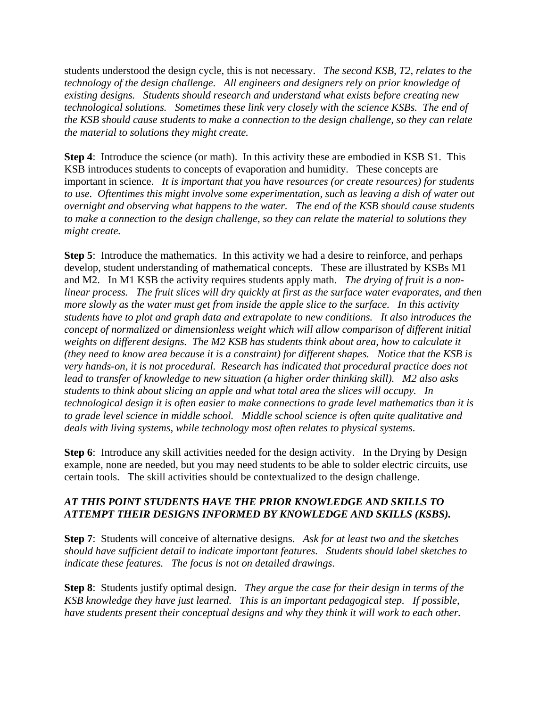students understood the design cycle, this is not necessary. *The second KSB, T2, relates to the technology of the design challenge. All engineers and designers rely on prior knowledge of existing designs. Students should research and understand what exists before creating new technological solutions. Sometimes these link very closely with the science KSBs. The end of the KSB should cause students to make a connection to the design challenge, so they can relate the material to solutions they might create.*

**Step 4**: Introduce the science (or math). In this activity these are embodied in KSB S1. This KSB introduces students to concepts of evaporation and humidity. These concepts are important in science. *It is important that you have resources (or create resources) for students to use. Oftentimes this might involve some experimentation, such as leaving a dish of water out overnight and observing what happens to the water. The end of the KSB should cause students to make a connection to the design challenge, so they can relate the material to solutions they might create.* 

**Step 5**: Introduce the mathematics. In this activity we had a desire to reinforce, and perhaps develop, student understanding of mathematical concepts. These are illustrated by KSBs M1 and M2. In M1 KSB the activity requires students apply math. *The drying of fruit is a nonlinear process. The fruit slices will dry quickly at first as the surface water evaporates, and then more slowly as the water must get from inside the apple slice to the surface. In this activity students have to plot and graph data and extrapolate to new conditions. It also introduces the concept of normalized or dimensionless weight which will allow comparison of different initial weights on different designs. The M2 KSB has students think about area, how to calculate it (they need to know area because it is a constraint) for different shapes. Notice that the KSB is very hands-on, it is not procedural. Research has indicated that procedural practice does not lead to transfer of knowledge to new situation (a higher order thinking skill). M2 also asks students to think about slicing an apple and what total area the slices will occupy. In technological design it is often easier to make connections to grade level mathematics than it is to grade level science in middle school. Middle school science is often quite qualitative and deals with living systems, while technology most often relates to physical systems*.

**Step 6**: Introduce any skill activities needed for the design activity. In the Drying by Design example, none are needed, but you may need students to be able to solder electric circuits, use certain tools. The skill activities should be contextualized to the design challenge.

## *AT THIS POINT STUDENTS HAVE THE PRIOR KNOWLEDGE AND SKILLS TO ATTEMPT THEIR DESIGNS INFORMED BY KNOWLEDGE AND SKILLS (KSBS).*

**Step 7**: Students will conceive of alternative designs. *Ask for at least two and the sketches should have sufficient detail to indicate important features. Students should label sketches to indicate these features. The focus is not on detailed drawings*.

**Step 8**: Students justify optimal design. *They argue the case for their design in terms of the KSB knowledge they have just learned. This is an important pedagogical step. If possible, have students present their conceptual designs and why they think it will work to each other.*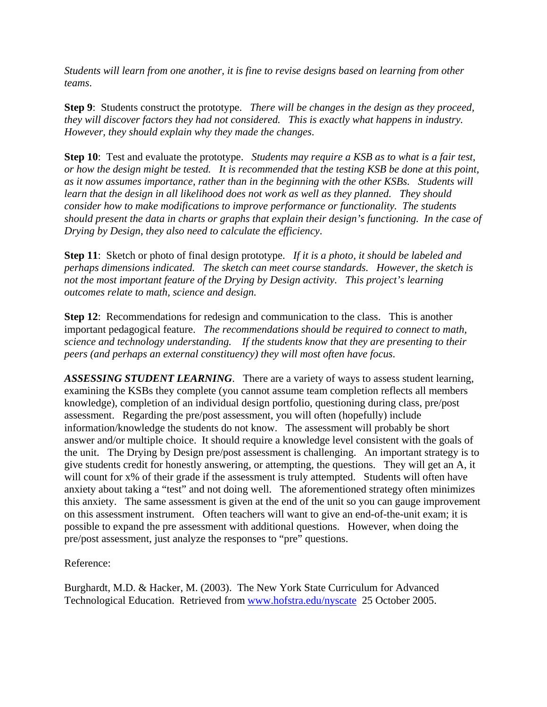*Students will learn from one another, it is fine to revise designs based on learning from other teams*.

**Step 9**: Students construct the prototype. *There will be changes in the design as they proceed, they will discover factors they had not considered. This is exactly what happens in industry. However, they should explain why they made the changes*.

**Step 10**: Test and evaluate the prototype. *Students may require a KSB as to what is a fair test, or how the design might be tested. It is recommended that the testing KSB be done at this point, as it now assumes importance, rather than in the beginning with the other KSBs. Students will learn that the design in all likelihood does not work as well as they planned. They should consider how to make modifications to improve performance or functionality. The students should present the data in charts or graphs that explain their design's functioning. In the case of Drying by Design, they also need to calculate the efficiency*.

**Step 11**: Sketch or photo of final design prototype. *If it is a photo, it should be labeled and perhaps dimensions indicated. The sketch can meet course standards. However, the sketch is not the most important feature of the Drying by Design activity. This project's learning outcomes relate to math, science and design.*

**Step 12:** Recommendations for redesign and communication to the class. This is another important pedagogical feature. *The recommendations should be required to connect to math, science and technology understanding. If the students know that they are presenting to their peers (and perhaps an external constituency) they will most often have focus*.

*ASSESSING STUDENT LEARNING*. There are a variety of ways to assess student learning, examining the KSBs they complete (you cannot assume team completion reflects all members knowledge), completion of an individual design portfolio, questioning during class, pre/post assessment. Regarding the pre/post assessment, you will often (hopefully) include information/knowledge the students do not know. The assessment will probably be short answer and/or multiple choice. It should require a knowledge level consistent with the goals of the unit. The Drying by Design pre/post assessment is challenging. An important strategy is to give students credit for honestly answering, or attempting, the questions. They will get an A, it will count for x% of their grade if the assessment is truly attempted. Students will often have anxiety about taking a "test" and not doing well. The aforementioned strategy often minimizes this anxiety. The same assessment is given at the end of the unit so you can gauge improvement on this assessment instrument. Often teachers will want to give an end-of-the-unit exam; it is possible to expand the pre assessment with additional questions. However, when doing the pre/post assessment, just analyze the responses to "pre" questions.

Reference:

Burghardt, M.D. & Hacker, M. (2003). The New York State Curriculum for Advanced Technological Education. Retrieved from www.hofstra.edu/nyscate 25 October 2005.